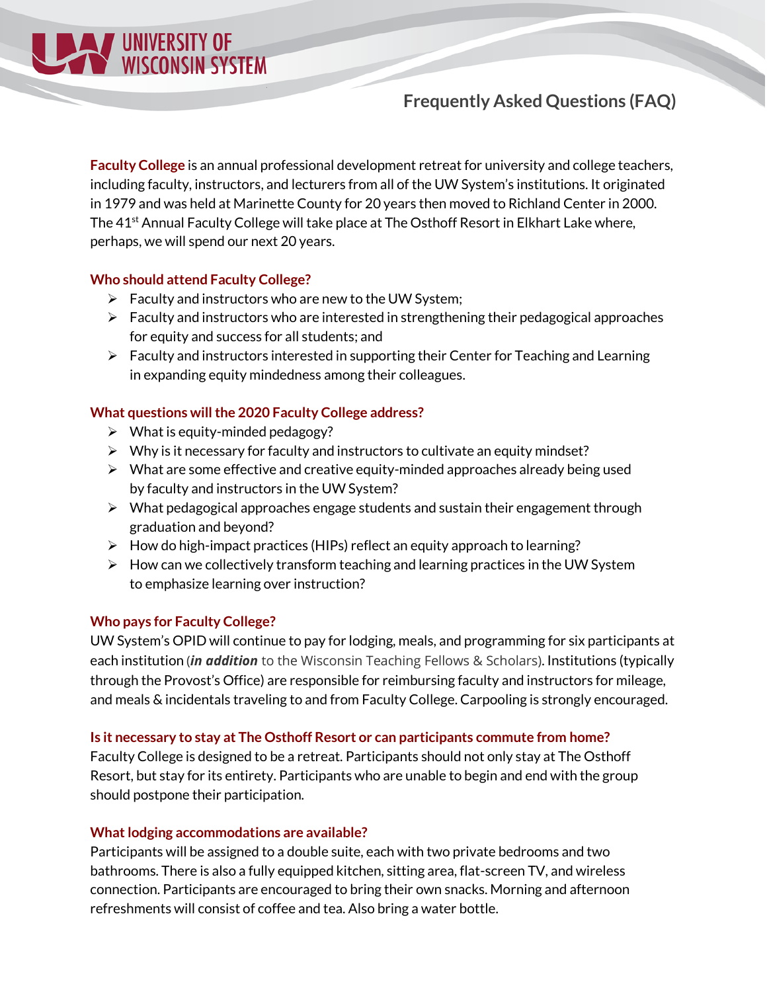**Faculty College** is an annual professional development retreat for university and college teachers, including faculty, instructors, and lecturers from all of the UW System's institutions. It originated in 1979 and was held at Marinette County for 20 years then moved to Richland Center in 2000. The 41<sup>st</sup> Annual Faculty College will take place at The Osthoff Resort in Elkhart Lake where, perhaps, we will spend our next 20 years.

# **Who should attend Faculty College?**

UNIVERSITY OF

**NISCONSIN SYSTEM** 

- $\triangleright$  Faculty and instructors who are new to the UW System;
- $\triangleright$  Faculty and instructors who are interested in strengthening their pedagogical approaches for equity and success for all students; and
- $\triangleright$  Faculty and instructors interested in supporting their Center for Teaching and Learning in expanding equity mindedness among their colleagues.

## **What questions will the 2020 Faculty College address?**

- $\triangleright$  What is equity-minded pedagogy?
- $\triangleright$  Why is it necessary for faculty and instructors to cultivate an equity mindset?
- $\triangleright$  What are some effective and creative equity-minded approaches already being used by faculty and instructors in the UW System?
- $\triangleright$  What pedagogical approaches engage students and sustain their engagement through graduation and beyond?
- $\triangleright$  How do high-impact practices (HIPs) reflect an equity approach to learning?
- $\triangleright$  How can we collectively transform teaching and learning practices in the UW System to emphasize learning over instruction?

### **Who pays for Faculty College?**

UW System's OPID will continue to pay for lodging, meals, and programming for six participants at each institution (*in addition* to the Wisconsin Teaching Fellows & Scholars). Institutions (typically through the Provost's Office) are responsible for reimbursing faculty and instructors for mileage, and meals & incidentals traveling to and from Faculty College. Carpooling is strongly encouraged.

### **Is it necessary to stay at The Osthoff Resort or can participants commute from home?**

Faculty College is designed to be a retreat. Participants should not only stay at The Osthoff Resort, but stay for its entirety. Participants who are unable to begin and end with the group should postpone their participation.

### **What lodging accommodations are available?**

Participants will be assigned to a double suite, each with two private bedrooms and two bathrooms. There is also a fully equipped kitchen, sitting area, flat-screen TV, and wireless connection. Participants are encouraged to bring their own snacks. Morning and afternoon refreshments will consist of coffee and tea. Also bring a water bottle.